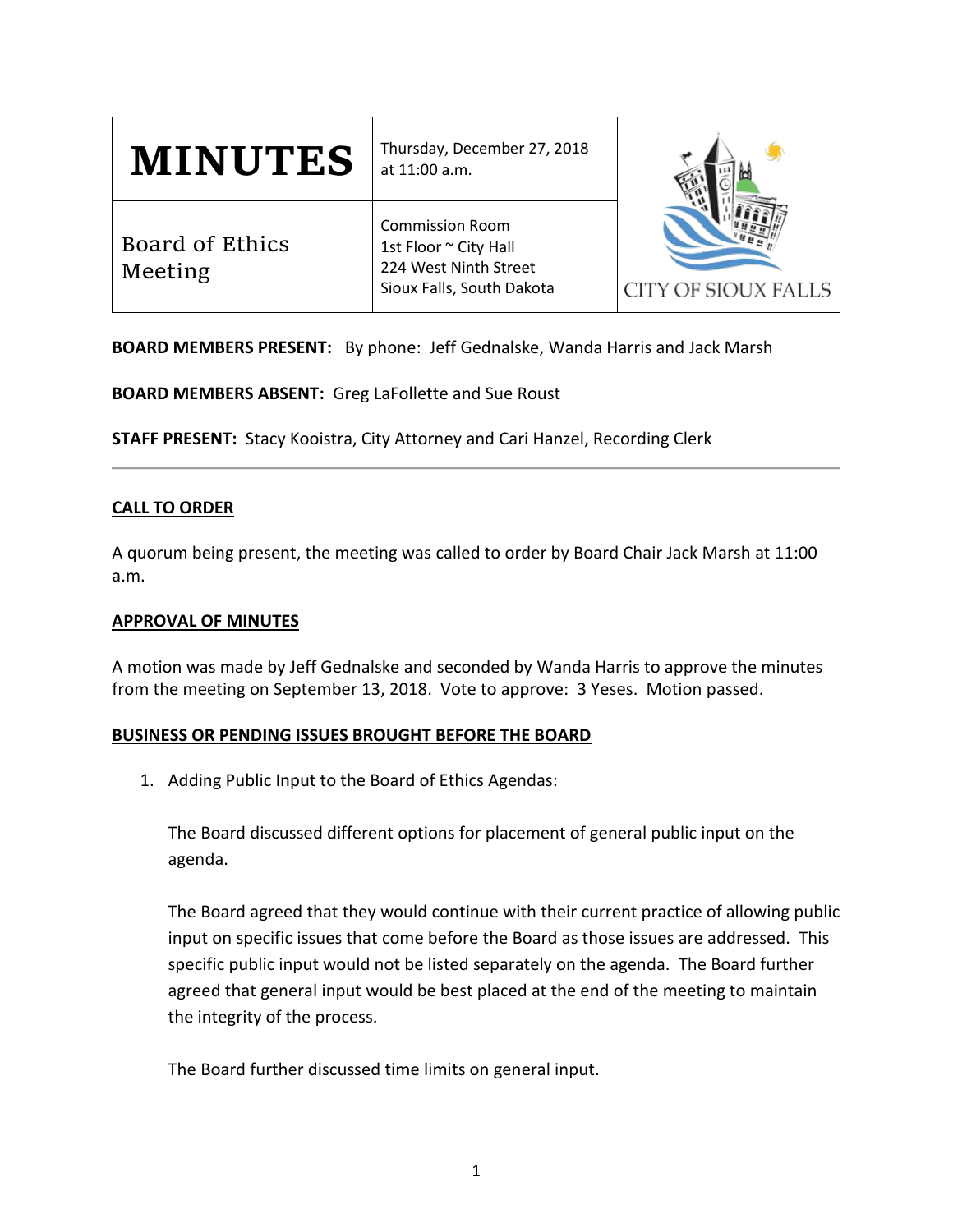| <b>MINUTES</b>             | Thursday, December 27, 2018<br>at 11:00 a.m.                                                          | <b>CITY OF SIOUX FALLS</b> |
|----------------------------|-------------------------------------------------------------------------------------------------------|----------------------------|
| Board of Ethics<br>Meeting | <b>Commission Room</b><br>1st Floor ~ City Hall<br>224 West Ninth Street<br>Sioux Falls, South Dakota |                            |

**BOARD MEMBERS PRESENT:** By phone: Jeff Gednalske, Wanda Harris and Jack Marsh

**BOARD MEMBERS ABSENT:** Greg LaFollette and Sue Roust

**STAFF PRESENT:** Stacy Kooistra, City Attorney and Cari Hanzel, Recording Clerk

# **CALL TO ORDER**

A quorum being present, the meeting was called to order by Board Chair Jack Marsh at 11:00 a.m.

### **APPROVAL OF MINUTES**

A motion was made by Jeff Gednalske and seconded by Wanda Harris to approve the minutes from the meeting on September 13, 2018. Vote to approve: 3 Yeses. Motion passed.

### **BUSINESS OR PENDING ISSUES BROUGHT BEFORE THE BOARD**

1. Adding Public Input to the Board of Ethics Agendas:

The Board discussed different options for placement of general public input on the agenda.

The Board agreed that they would continue with their current practice of allowing public input on specific issues that come before the Board as those issues are addressed. This specific public input would not be listed separately on the agenda. The Board further agreed that general input would be best placed at the end of the meeting to maintain the integrity of the process.

The Board further discussed time limits on general input.